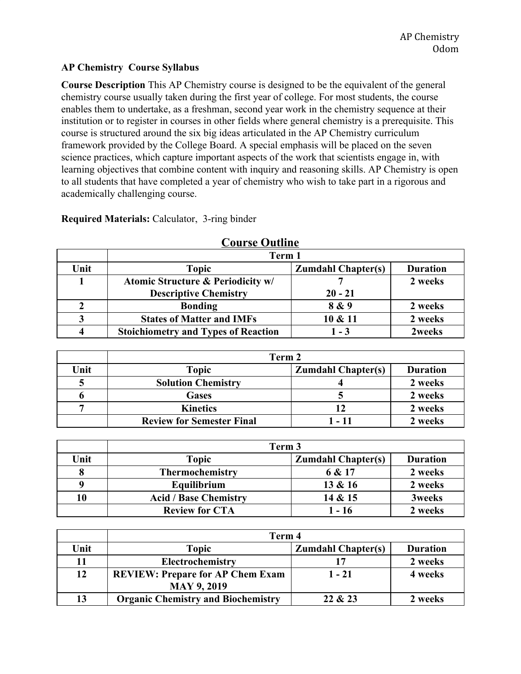### **AP Chemistry Course Syllabus**

**Course Description** This AP Chemistry course is designed to be the equivalent of the general chemistry course usually taken during the first year of college. For most students, the course enables them to undertake, as a freshman, second year work in the chemistry sequence at their institution or to register in courses in other fields where general chemistry is a prerequisite. This course is structured around the six big ideas articulated in the AP Chemistry curriculum framework provided by the College Board. A special emphasis will be placed on the seven science practices, which capture important aspects of the work that scientists engage in, with learning objectives that combine content with inquiry and reasoning skills. AP Chemistry is open to all students that have completed a year of chemistry who wish to take part in a rigorous and academically challenging course.

| $\sim$ $\sim$ $\sim$ $\sim$ $\sim$ $\sim$ $\sim$ $\sim$ |                                              |                 |         |  |
|---------------------------------------------------------|----------------------------------------------|-----------------|---------|--|
|                                                         | Term 1                                       |                 |         |  |
| Unit                                                    | <b>Topic</b>                                 | <b>Duration</b> |         |  |
|                                                         | <b>Atomic Structure &amp; Periodicity w/</b> |                 | 2 weeks |  |
|                                                         | <b>Descriptive Chemistry</b>                 | $20 - 21$       |         |  |
|                                                         | <b>Bonding</b>                               | 8 & 9           | 2 weeks |  |
|                                                         | <b>States of Matter and IMFs</b>             | 10 & 11         | 2 weeks |  |
|                                                         | <b>Stoichiometry and Types of Reaction</b>   | $1 - 3$         | 2weeks  |  |

**Course Outline**

**Required Materials:** Calculator, 3-ring binder

|      | Term 2                           |                           |                 |
|------|----------------------------------|---------------------------|-----------------|
| Unit | <b>Topic</b>                     | <b>Zumdahl Chapter(s)</b> | <b>Duration</b> |
|      | <b>Solution Chemistry</b>        |                           | 2 weeks         |
|      | <b>Gases</b>                     |                           | 2 weeks         |
|      | <b>Kinetics</b>                  |                           | 2 weeks         |
|      | <b>Review for Semester Final</b> | 1 - 11                    | 2 weeks         |

|      | Term 3                       |                           |                 |
|------|------------------------------|---------------------------|-----------------|
| Unit | <b>Topic</b>                 | <b>Zumdahl Chapter(s)</b> | <b>Duration</b> |
|      | Thermochemistry              | 6 & 17                    | 2 weeks         |
| q    | Equilibrium                  | 13 & 16                   | 2 weeks         |
| 10   | <b>Acid / Base Chemistry</b> | 14 & 15                   | <b>3weeks</b>   |
|      | <b>Review for CTA</b>        | $1 - 16$                  | 2 weeks         |

|      | Term 4                                                       |          |         |  |
|------|--------------------------------------------------------------|----------|---------|--|
| Unit | <b>Topic</b><br><b>Zumdahl Chapter(s)</b><br><b>Duration</b> |          |         |  |
| 11   | Electrochemistry                                             |          | 2 weeks |  |
| 12   | <b>REVIEW: Prepare for AP Chem Exam</b>                      | $1 - 21$ | 4 weeks |  |
|      | <b>MAY 9, 2019</b>                                           |          |         |  |
| 13   | <b>Organic Chemistry and Biochemistry</b>                    | 22 & 23  | 2 weeks |  |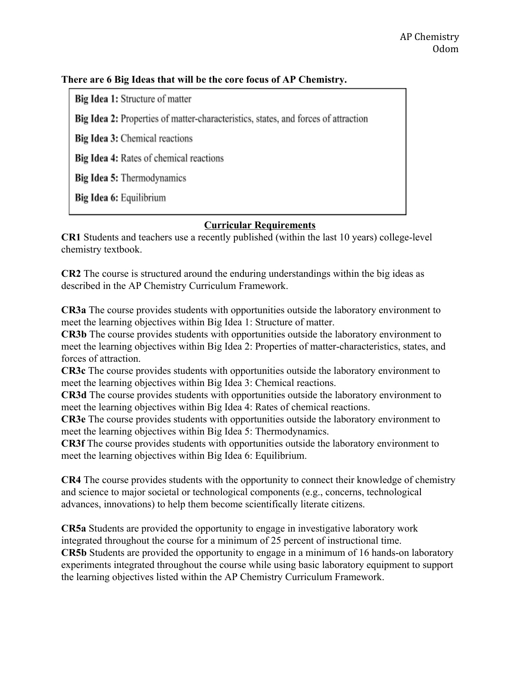# **There are 6 Big Ideas that will be the core focus of AP Chemistry.**

Big Idea 1: Structure of matter

Big Idea 2: Properties of matter-characteristics, states, and forces of attraction

Big Idea 3: Chemical reactions

Big Idea 4: Rates of chemical reactions

Big Idea 5: Thermodynamics

Big Idea 6: Equilibrium

# **Curricular Requirements**

**CR1** Students and teachers use a recently published (within the last 10 years) college-level chemistry textbook.

**CR2** The course is structured around the enduring understandings within the big ideas as described in the AP Chemistry Curriculum Framework.

**CR3a** The course provides students with opportunities outside the laboratory environment to meet the learning objectives within Big Idea 1: Structure of matter.

**CR3b** The course provides students with opportunities outside the laboratory environment to meet the learning objectives within Big Idea 2: Properties of matter-characteristics, states, and forces of attraction.

**CR3c** The course provides students with opportunities outside the laboratory environment to meet the learning objectives within Big Idea 3: Chemical reactions.

**CR3d** The course provides students with opportunities outside the laboratory environment to meet the learning objectives within Big Idea 4: Rates of chemical reactions.

**CR3e** The course provides students with opportunities outside the laboratory environment to meet the learning objectives within Big Idea 5: Thermodynamics.

**CR3f** The course provides students with opportunities outside the laboratory environment to meet the learning objectives within Big Idea 6: Equilibrium.

**CR4** The course provides students with the opportunity to connect their knowledge of chemistry and science to major societal or technological components (e.g., concerns, technological advances, innovations) to help them become scientifically literate citizens.

**CR5a** Students are provided the opportunity to engage in investigative laboratory work integrated throughout the course for a minimum of 25 percent of instructional time. **CR5b** Students are provided the opportunity to engage in a minimum of 16 hands-on laboratory experiments integrated throughout the course while using basic laboratory equipment to support the learning objectives listed within the AP Chemistry Curriculum Framework.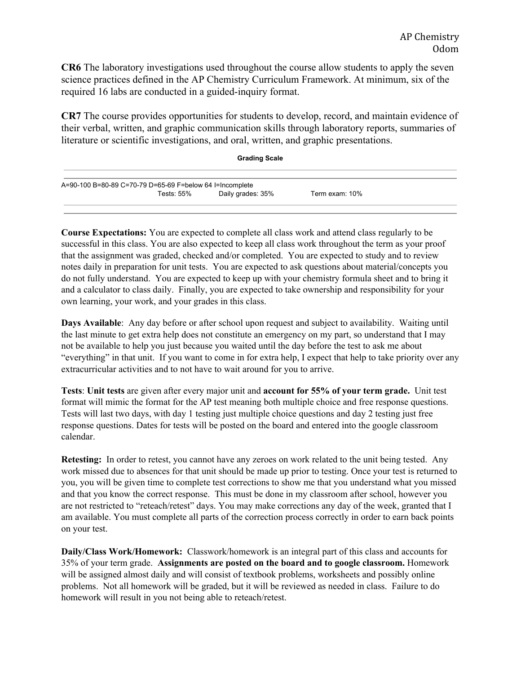**CR6** The laboratory investigations used throughout the course allow students to apply the seven science practices defined in the AP Chemistry Curriculum Framework. At minimum, six of the required 16 labs are conducted in a guided-inquiry format.

**CR7** The course provides opportunities for students to develop, record, and maintain evidence of their verbal, written, and graphic communication skills through laboratory reports, summaries of literature or scientific investigations, and oral, written, and graphic presentations.

| <b>Grading Scale</b>                                     |            |                   |                |  |
|----------------------------------------------------------|------------|-------------------|----------------|--|
| A=90-100 B=80-89 C=70-79 D=65-69 F=below 64 I=Incomplete |            |                   |                |  |
|                                                          | Tests: 55% | Daily grades: 35% | Term exam: 10% |  |

**Course Expectations:** You are expected to complete all class work and attend class regularly to be successful in this class. You are also expected to keep all class work throughout the term as your proof that the assignment was graded, checked and/or completed. You are expected to study and to review notes daily in preparation for unit tests. You are expected to ask questions about material/concepts you do not fully understand. You are expected to keep up with your chemistry formula sheet and to bring it and a calculator to class daily. Finally, you are expected to take ownership and responsibility for your own learning, your work, and your grades in this class.

**Days Available**: Any day before or after school upon request and subject to availability. Waiting until the last minute to get extra help does not constitute an emergency on my part, so understand that I may not be available to help you just because you waited until the day before the test to ask me about "everything" in that unit. If you want to come in for extra help, I expect that help to take priority over any extracurricular activities and to not have to wait around for you to arrive.

**Tests**: **Unit tests** are given after every major unit and **account for 55% of your term grade.** Unit test format will mimic the format for the AP test meaning both multiple choice and free response questions. Tests will last two days, with day 1 testing just multiple choice questions and day 2 testing just free response questions. Dates for tests will be posted on the board and entered into the google classroom calendar.

**Retesting:** In order to retest, you cannot have any zeroes on work related to the unit being tested. Any work missed due to absences for that unit should be made up prior to testing. Once your test is returned to you, you will be given time to complete test corrections to show me that you understand what you missed and that you know the correct response. This must be done in my classroom after school, however you are not restricted to "reteach/retest" days. You may make corrections any day of the week, granted that I am available. You must complete all parts of the correction process correctly in order to earn back points on your test.

**Daily/Class Work/Homework:** Classwork/homework is an integral part of this class and accounts for 35% of your term grade. **Assignments are posted on the board and to google classroom.** Homework will be assigned almost daily and will consist of textbook problems, worksheets and possibly online problems. Not all homework will be graded, but it will be reviewed as needed in class. Failure to do homework will result in you not being able to reteach/retest.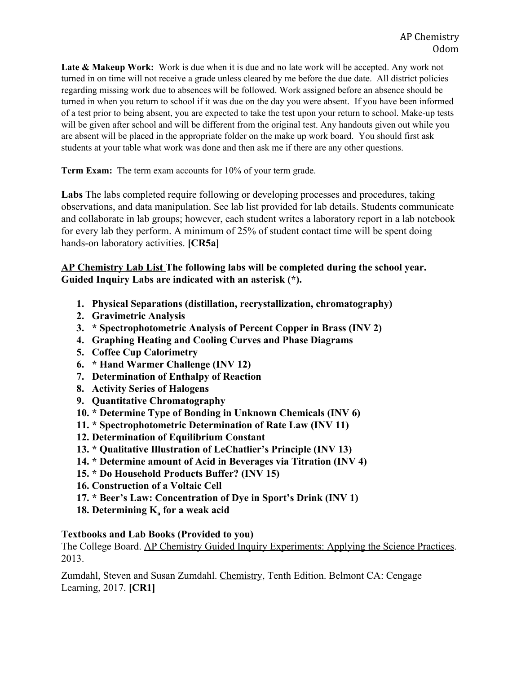**Late & Makeup Work:** Work is due when it is due and no late work will be accepted. Any work not turned in on time will not receive a grade unless cleared by me before the due date. All district policies regarding missing work due to absences will be followed. Work assigned before an absence should be turned in when you return to school if it was due on the day you were absent. If you have been informed of a test prior to being absent, you are expected to take the test upon your return to school. Make-up tests will be given after school and will be different from the original test. Any handouts given out while you are absent will be placed in the appropriate folder on the make up work board. You should first ask students at your table what work was done and then ask me if there are any other questions.

**Term Exam:** The term exam accounts for 10% of your term grade.

**Labs** The labs completed require following or developing processes and procedures, taking observations, and data manipulation. See lab list provided for lab details. Students communicate and collaborate in lab groups; however, each student writes a laboratory report in a lab notebook for every lab they perform. A minimum of 25% of student contact time will be spent doing hands-on laboratory activities. **[CR5a]**

# **AP Chemistry Lab List The following labs will be completed during the school year. Guided Inquiry Labs are indicated with an asterisk (\*).**

- **1. Physical Separations (distillation, recrystallization, chromatography)**
- **2. Gravimetric Analysis**
- **3. \* Spectrophotometric Analysis of Percent Copper in Brass (INV 2)**
- **4. Graphing Heating and Cooling Curves and Phase Diagrams**
- **5. Coffee Cup Calorimetry**
- **6. \* Hand Warmer Challenge (INV 12)**
- **7. Determination of Enthalpy of Reaction**
- **8. Activity Series of Halogens**
- **9. Quantitative Chromatography**
- **10. \* Determine Type of Bonding in Unknown Chemicals (INV 6)**
- **11. \* Spectrophotometric Determination of Rate Law (INV 11)**
- **12. Determination of Equilibrium Constant**
- **13. \* Qualitative Illustration of LeChatlier's Principle (INV 13)**
- **14. \* Determine amount of Acid in Beverages via Titration (INV 4)**
- **15. \* Do Household Products Buffer? (INV 15)**
- **16. Construction of a Voltaic Cell**
- **17. \* Beer's Law: Concentration of Dye in Sport's Drink (INV 1)**
- **18. Determining K<sup>a</sup> for a weak acid**

### **Textbooks and Lab Books (Provided to you)**

The College Board. AP Chemistry Guided Inquiry Experiments: Applying the Science Practices. 2013.

Zumdahl, Steven and Susan Zumdahl. Chemistry, Tenth Edition. Belmont CA: Cengage Learning, 2017. **[CR1]**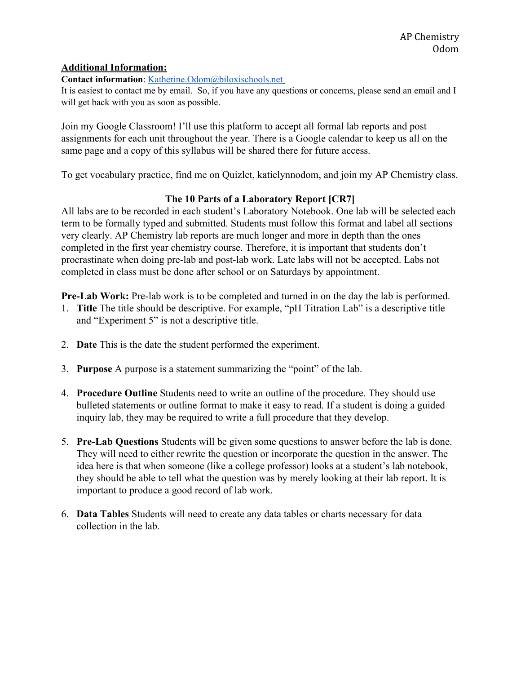### **Additional Information:**

#### **Contact information**: [Katherine.Odom@biloxischools.net](mailto:Katherine.odom@biloxischools.net)

It is easiest to contact me by email. So, if you have any questions or concerns, please send an email and I will get back with you as soon as possible.

Join my Google Classroom! I'll use this platform to accept all formal lab reports and post assignments for each unit throughout the year. There is a Google calendar to keep us all on the same page and a copy of this syllabus will be shared there for future access.

To get vocabulary practice, find me on Quizlet, katielynnodom, and join my AP Chemistry class.

# **The 10 Parts of a Laboratory Report [CR7]**

All labs are to be recorded in each student's Laboratory Notebook. One lab will be selected each term to be formally typed and submitted. Students must follow this format and label all sections very clearly. AP Chemistry lab reports are much longer and more in depth than the ones completed in the first year chemistry course. Therefore, it is important that students don't procrastinate when doing pre-lab and post-lab work. Late labs will not be accepted. Labs not completed in class must be done after school or on Saturdays by appointment.

**Pre-Lab Work:** Pre-lab work is to be completed and turned in on the day the lab is performed.

- 1. **Title** The title should be descriptive. For example, "pH Titration Lab" is a descriptive title and "Experiment 5" is not a descriptive title.
- 2. **Date** This is the date the student performed the experiment.
- 3. **Purpose** A purpose is a statement summarizing the "point" of the lab.
- 4. **Procedure Outline** Students need to write an outline of the procedure. They should use bulleted statements or outline format to make it easy to read. If a student is doing a guided inquiry lab, they may be required to write a full procedure that they develop.
- 5. **Pre-Lab Questions** Students will be given some questions to answer before the lab is done. They will need to either rewrite the question or incorporate the question in the answer. The idea here is that when someone (like a college professor) looks at a student's lab notebook, they should be able to tell what the question was by merely looking at their lab report. It is important to produce a good record of lab work.
- 6. **Data Tables** Students will need to create any data tables or charts necessary for data collection in the lab.